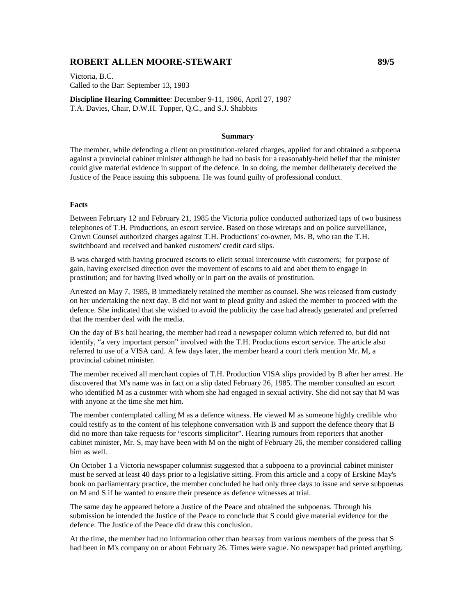# **ROBERT ALLEN MOORE-STEWART 89/5**

Victoria, B.C. Called to the Bar: September 13, 1983

**Discipline Hearing Committee**: December 9-11, 1986, April 27, 1987 T.A. Davies, Chair, D.W.H. Tupper, Q.C., and S.J. Shabbits

#### **Summary**

The member, while defending a client on prostitution-related charges, applied for and obtained a subpoena against a provincial cabinet minister although he had no basis for a reasonably-held belief that the minister could give material evidence in support of the defence. In so doing, the member deliberately deceived the Justice of the Peace issuing this subpoena. He was found guilty of professional conduct.

### **Facts**

Between February 12 and February 21, 1985 the Victoria police conducted authorized taps of two business telephones of T.H. Productions, an escort service. Based on those wiretaps and on police surveillance, Crown Counsel authorized charges against T.H. Productions' co-owner, Ms. B, who ran the T.H. switchboard and received and banked customers' credit card slips.

B was charged with having procured escorts to elicit sexual intercourse with customers; for purpose of gain, having exercised direction over the movement of escorts to aid and abet them to engage in prostitution; and for having lived wholly or in part on the avails of prostitution.

Arrested on May 7, 1985, B immediately retained the member as counsel. She was released from custody on her undertaking the next day. B did not want to plead guilty and asked the member to proceed with the defence. She indicated that she wished to avoid the publicity the case had already generated and preferred that the member deal with the media.

On the day of B's bail hearing, the member had read a newspaper column which referred to, but did not identify, "a very important person" involved with the T.H. Productions escort service. The article also referred to use of a VISA card. A few days later, the member heard a court clerk mention Mr. M, a provincial cabinet minister.

The member received all merchant copies of T.H. Production VISA slips provided by B after her arrest. He discovered that M's name was in fact on a slip dated February 26, 1985. The member consulted an escort who identified M as a customer with whom she had engaged in sexual activity. She did not say that M was with anyone at the time she met him.

The member contemplated calling M as a defence witness. He viewed M as someone highly credible who could testify as to the content of his telephone conversation with B and support the defence theory that B did no more than take requests for "escorts simplicitor". Hearing rumours from reporters that another cabinet minister, Mr. S, may have been with M on the night of February 26, the member considered calling him as well.

On October 1 a Victoria newspaper columnist suggested that a subpoena to a provincial cabinet minister must be served at least 40 days prior to a legislative sitting. From this article and a copy of Erskine May's book on parliamentary practice, the member concluded he had only three days to issue and serve subpoenas on M and S if he wanted to ensure their presence as defence witnesses at trial.

The same day he appeared before a Justice of the Peace and obtained the subpoenas. Through his submission he intended the Justice of the Peace to conclude that S could give material evidence for the defence. The Justice of the Peace did draw this conclusion.

At the time, the member had no information other than hearsay from various members of the press that S had been in M's company on or about February 26. Times were vague. No newspaper had printed anything.